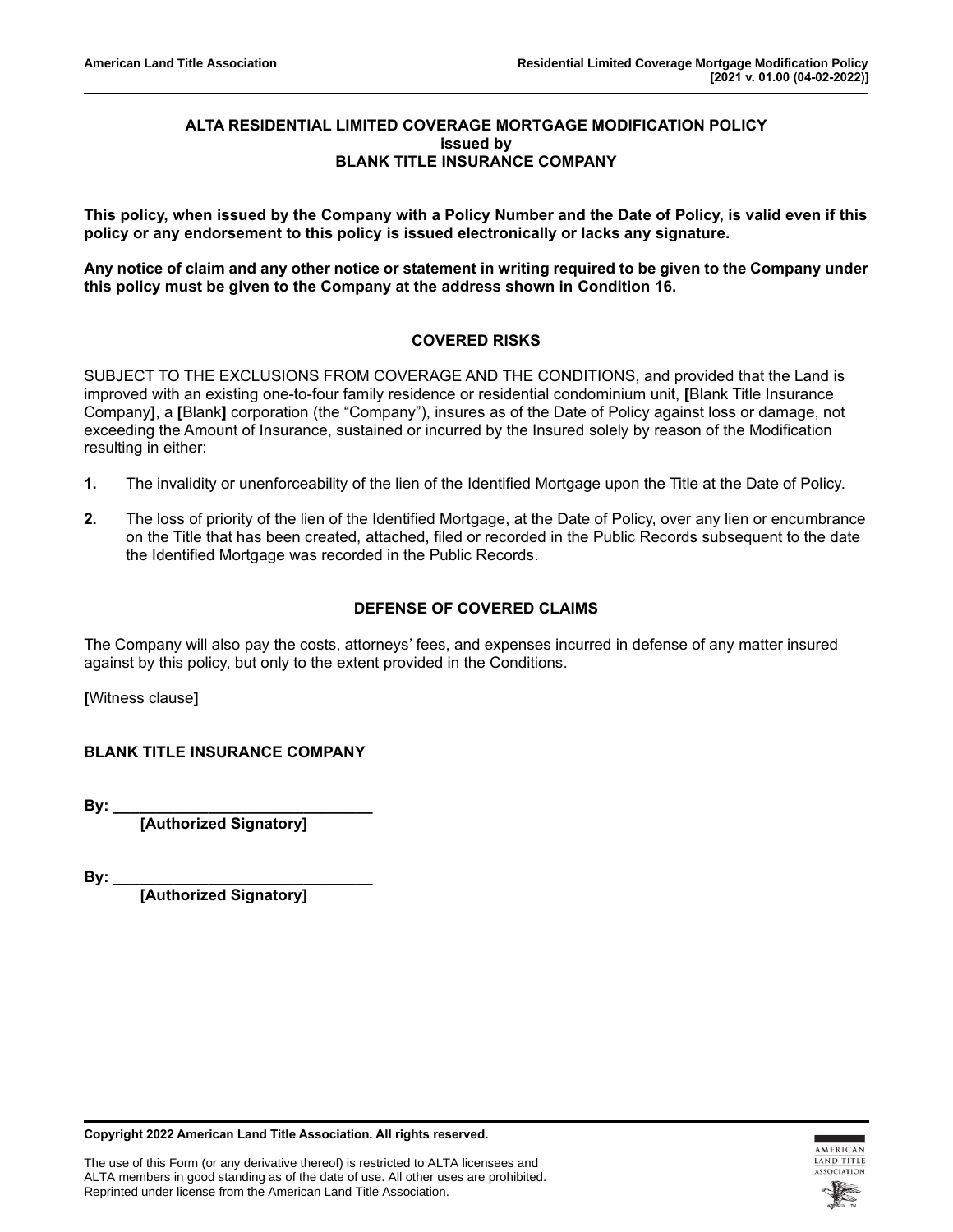#### **ALTA RESIDENTIAL LIMITED COVERAGE MORTGAGE MODIFICATION POLICY issued by BLANK TITLE INSURANCE COMPANY**

**This policy, when issued by the Company with a Policy Number and the Date of Policy, is valid even if this policy or any endorsement to this policy is issued electronically or lacks any signature.**

**Any notice of claim and any other notice or statement in writing required to be given to the Company under this policy must be given to the Company at the address shown in Condition 16.**

#### **COVERED RISKS**

SUBJECT TO THE EXCLUSIONS FROM COVERAGE AND THE CONDITIONS, and provided that the Land is improved with an existing one-to-four family residence or residential condominium unit, **[**Blank Title Insurance Company**]**, a **[**Blank**]** corporation (the "Company"), insures as of the Date of Policy against loss or damage, not exceeding the Amount of Insurance, sustained or incurred by the Insured solely by reason of the Modification resulting in either:

- **1.** The invalidity or unenforceability of the lien of the Identified Mortgage upon the Title at the Date of Policy.
- **2.** The loss of priority of the lien of the Identified Mortgage, at the Date of Policy, over any lien or encumbrance on the Title that has been created, attached, filed or recorded in the Public Records subsequent to the date the Identified Mortgage was recorded in the Public Records.

#### **DEFENSE OF COVERED CLAIMS**

The Company will also pay the costs, attorneys' fees, and expenses incurred in defense of any matter insured against by this policy, but only to the extent provided in the Conditions.

**[**Witness clause**]**

#### **BLANK TITLE INSURANCE COMPANY**

**By: \_\_\_\_\_\_\_\_\_\_\_\_\_\_\_\_\_\_\_\_\_\_\_\_\_\_\_\_\_\_**

**[Authorized Signatory]**

**By: \_\_\_\_\_\_\_\_\_\_\_\_\_\_\_\_\_\_\_\_\_\_\_\_\_\_\_\_\_\_**

**[Authorized Signatory]**

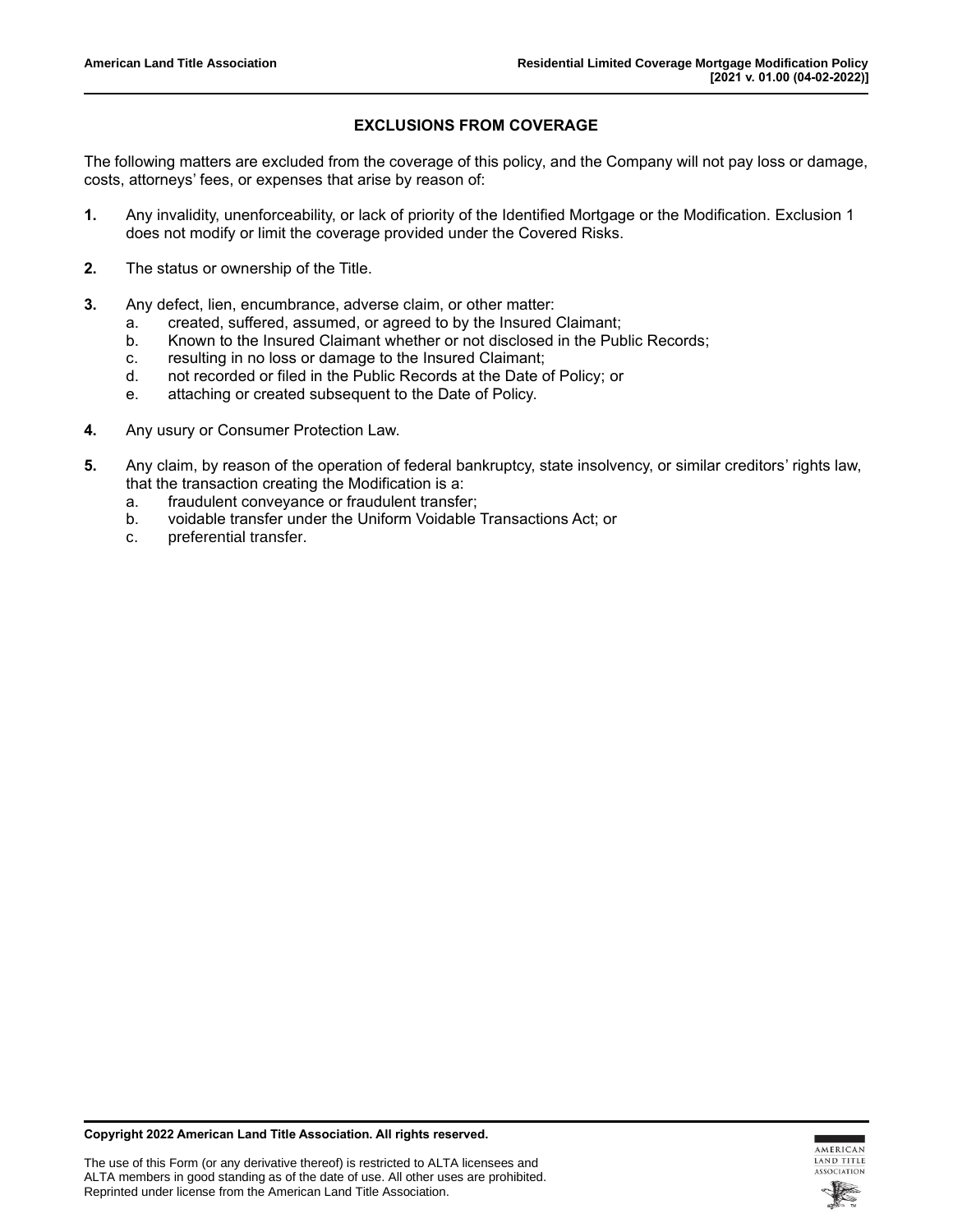## **EXCLUSIONS FROM COVERAGE**

The following matters are excluded from the coverage of this policy, and the Company will not pay loss or damage, costs, attorneys' fees, or expenses that arise by reason of:

- **1.** Any invalidity, unenforceability, or lack of priority of the Identified Mortgage or the Modification. Exclusion 1 does not modify or limit the coverage provided under the Covered Risks.
- **2.** The status or ownership of the Title.
- **3.** Any defect, lien, encumbrance, adverse claim, or other matter:
	- a. created, suffered, assumed, or agreed to by the Insured Claimant;
	- b. Known to the Insured Claimant whether or not disclosed in the Public Records;
	- c. resulting in no loss or damage to the Insured Claimant;
	- d. not recorded or filed in the Public Records at the Date of Policy; or
	- e. attaching or created subsequent to the Date of Policy.
- **4.** Any usury or Consumer Protection Law.
- **5.** Any claim, by reason of the operation of federal bankruptcy, state insolvency, or similar creditors' rights law, that the transaction creating the Modification is a:
	- a. fraudulent conveyance or fraudulent transfer;
	- b. voidable transfer under the Uniform Voidable Transactions Act; or
	- c. preferential transfer.

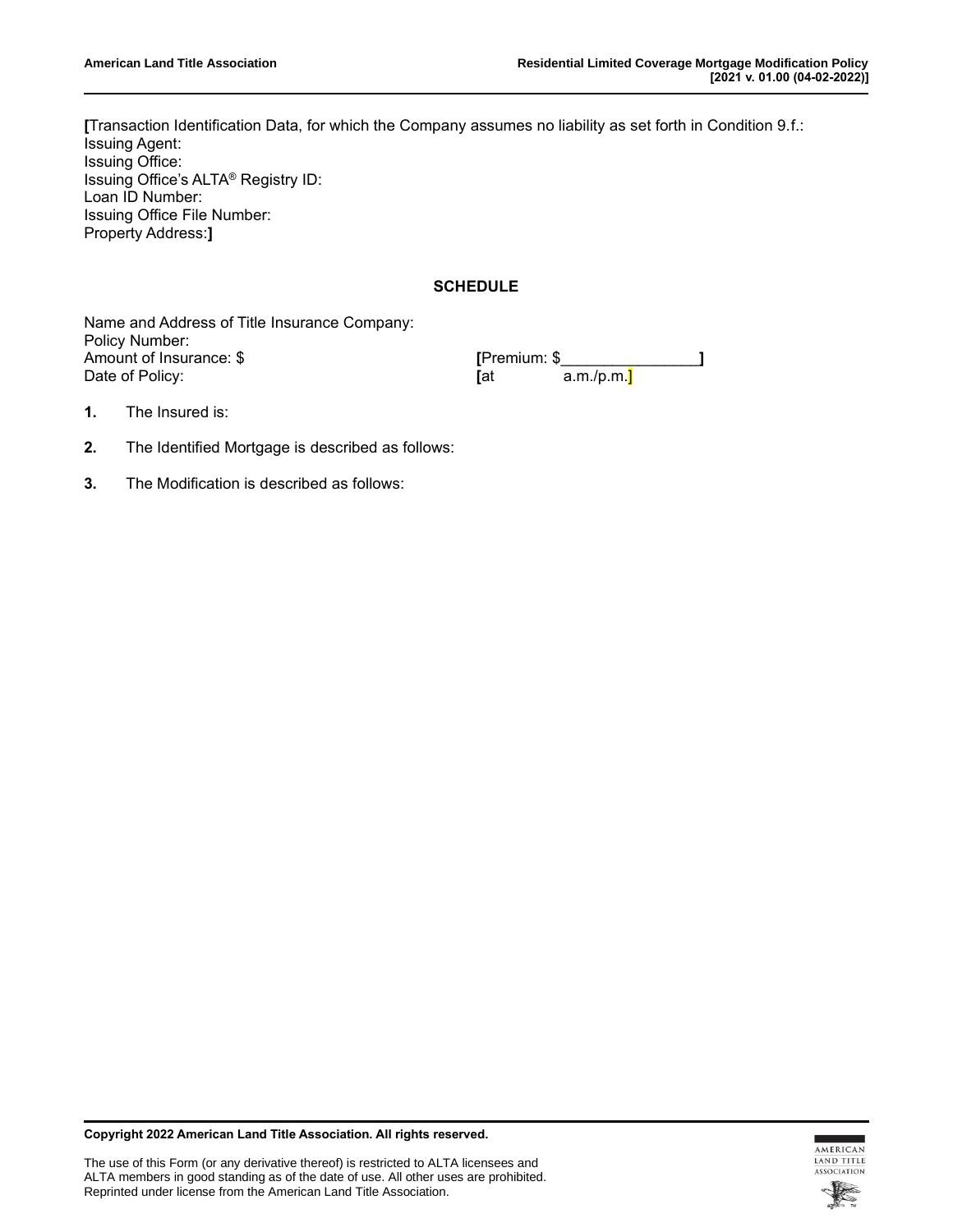**[**Transaction Identification Data, for which the Company assumes no liability as set forth in Condition 9.f.: Issuing Agent: Issuing Office: Issuing Office's ALTA® Registry ID: Loan ID Number: Issuing Office File Number: Property Address:**]**

## **SCHEDULE**

Name and Address of Title Insurance Company: Policy Number: Amount of Insurance: \$ **[**Premium: \$\_\_\_\_\_\_\_\_\_\_\_\_\_\_\_\_**]** Date of Policy: **[at a.m.] [at a.m.] [at a.m.] [at a.m.] [at a.m.] [at a.m.] [at a.m.] [at a.m.] [at a.m.] [at a.m.] [at a.m.] [at a.m.] [at a.m.] [at a.m.] [at a.m.] [at a.m.] [at a.m.] [** 

- **1.** The Insured is:
- **2.** The Identified Mortgage is described as follows:
- **3.** The Modification is described as follows:

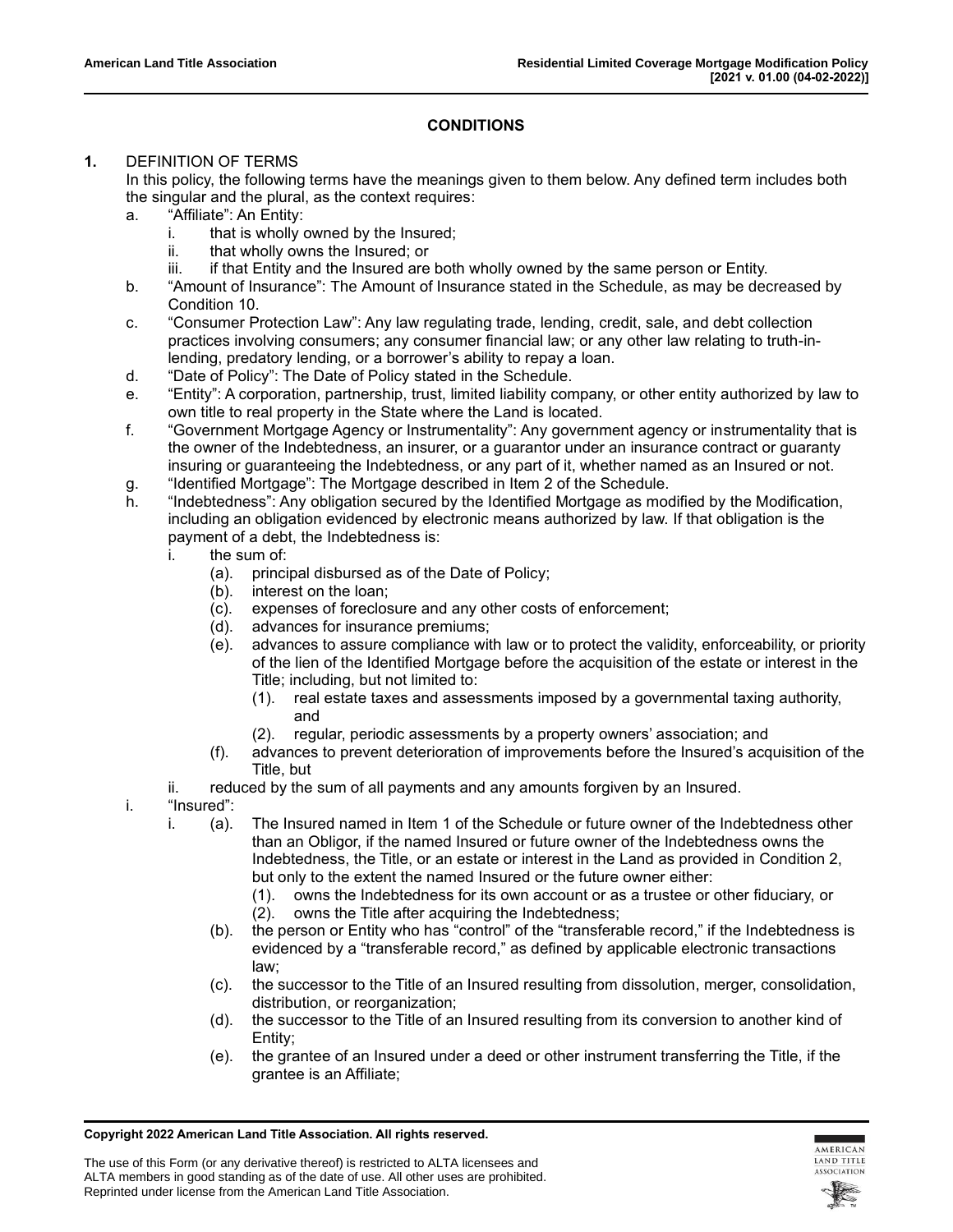# **CONDITIONS**

## **1.** DEFINITION OF TERMS

In this policy, the following terms have the meanings given to them below. Any defined term includes both the singular and the plural, as the context requires:

- a. "Affiliate": An Entity:
	- i. that is wholly owned by the Insured;
	- ii. that wholly owns the Insured; or
	- iii. if that Entity and the Insured are both wholly owned by the same person or Entity.
- b. "Amount of Insurance": The Amount of Insurance stated in the Schedule, as may be decreased by Condition 10.
- c. "Consumer Protection Law": Any law regulating trade, lending, credit, sale, and debt collection practices involving consumers; any consumer financial law; or any other law relating to truth-inlending, predatory lending, or a borrower's ability to repay a loan.
- d. "Date of Policy": The Date of Policy stated in the Schedule.
- e. "Entity": A corporation, partnership, trust, limited liability company, or other entity authorized by law to own title to real property in the State where the Land is located.
- f. "Government Mortgage Agency or Instrumentality": Any government agency or instrumentality that is the owner of the Indebtedness, an insurer, or a guarantor under an insurance contract or guaranty insuring or guaranteeing the Indebtedness, or any part of it, whether named as an Insured or not.
- g. "Identified Mortgage": The Mortgage described in Item 2 of the Schedule.
- h. "Indebtedness": Any obligation secured by the Identified Mortgage as modified by the Modification, including an obligation evidenced by electronic means authorized by law. If that obligation is the payment of a debt, the Indebtedness is:
	- i. the sum of:
		- (a). principal disbursed as of the Date of Policy;
		- (b). interest on the loan;
		- (c). expenses of foreclosure and any other costs of enforcement;
		- (d). advances for insurance premiums;
		- (e). advances to assure compliance with law or to protect the validity, enforceability, or priority of the lien of the Identified Mortgage before the acquisition of the estate or interest in the Title; including, but not limited to:
			- (1). real estate taxes and assessments imposed by a governmental taxing authority, and
			- (2). regular, periodic assessments by a property owners' association; and
		- (f). advances to prevent deterioration of improvements before the Insured's acquisition of the Title, but
	- ii. reduced by the sum of all payments and any amounts forgiven by an Insured.
- i. "Insured":
	- i. (a). The Insured named in Item 1 of the Schedule or future owner of the Indebtedness other than an Obligor, if the named Insured or future owner of the Indebtedness owns the Indebtedness, the Title, or an estate or interest in the Land as provided in Condition 2, but only to the extent the named Insured or the future owner either:
		- (1). owns the Indebtedness for its own account or as a trustee or other fiduciary, or
		- (2). owns the Title after acquiring the Indebtedness;
		- (b). the person or Entity who has "control" of the "transferable record," if the Indebtedness is evidenced by a "transferable record," as defined by applicable electronic transactions law;
		- (c). the successor to the Title of an Insured resulting from dissolution, merger, consolidation, distribution, or reorganization;
		- (d). the successor to the Title of an Insured resulting from its conversion to another kind of Entity;
		- (e). the grantee of an Insured under a deed or other instrument transferring the Title, if the grantee is an Affiliate;

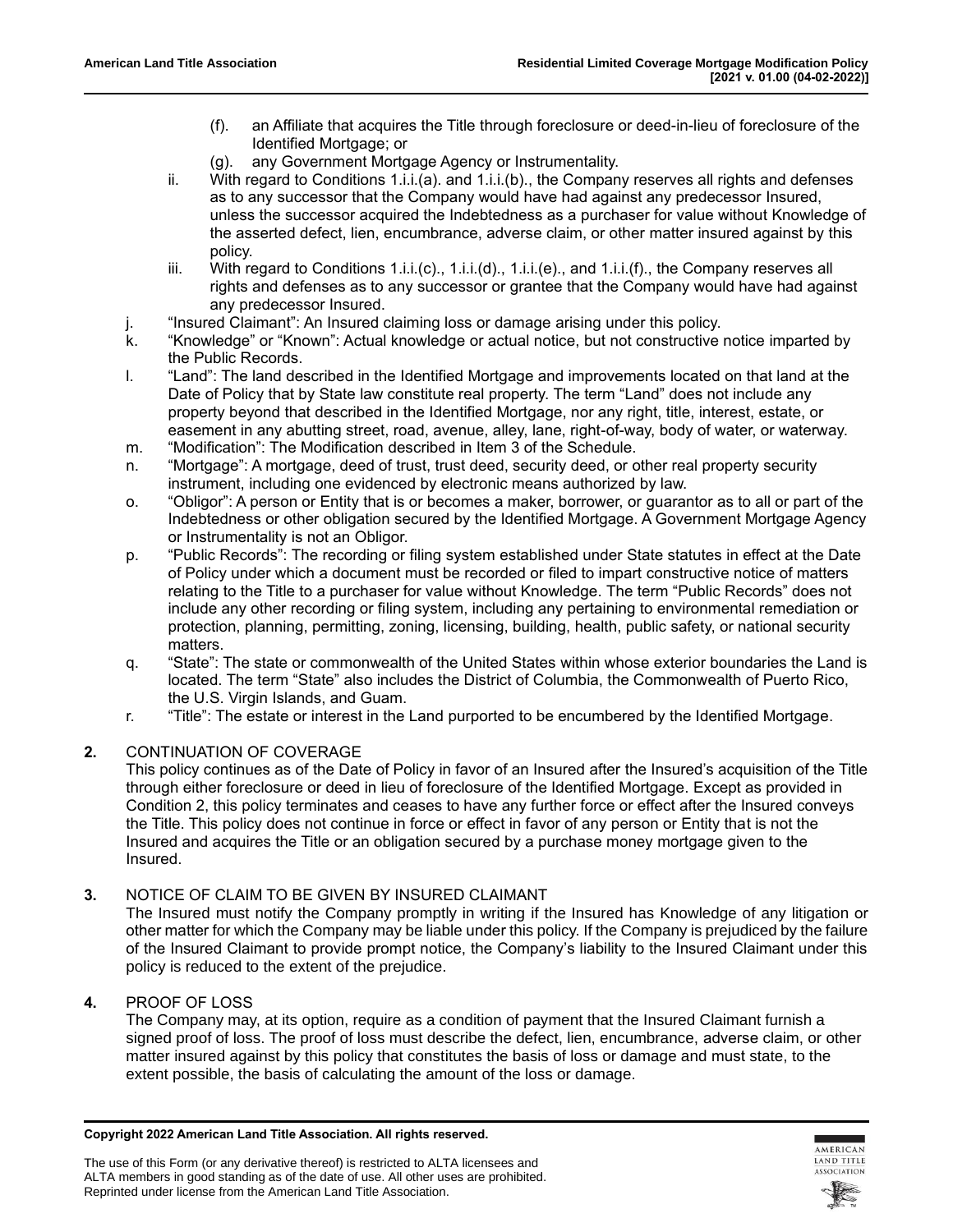- (f). an Affiliate that acquires the Title through foreclosure or deed-in-lieu of foreclosure of the Identified Mortgage; or
- (g). any Government Mortgage Agency or Instrumentality.
- ii. With regard to Conditions 1.i.i.(a). and 1.i.i.(b)., the Company reserves all rights and defenses as to any successor that the Company would have had against any predecessor Insured, unless the successor acquired the Indebtedness as a purchaser for value without Knowledge of the asserted defect, lien, encumbrance, adverse claim, or other matter insured against by this policy.
- iii. With regard to Conditions 1.i.i.(c)., 1.i.i.(d)., 1.i.i.(e)., and 1.i.i.(f)., the Company reserves all rights and defenses as to any successor or grantee that the Company would have had against any predecessor Insured.
- j. "Insured Claimant": An Insured claiming loss or damage arising under this policy.
- k. "Knowledge" or "Known": Actual knowledge or actual notice, but not constructive notice imparted by the Public Records.
- l. "Land": The land described in the Identified Mortgage and improvements located on that land at the Date of Policy that by State law constitute real property. The term "Land" does not include any property beyond that described in the Identified Mortgage, nor any right, title, interest, estate, or easement in any abutting street, road, avenue, alley, lane, right-of-way, body of water, or waterway.
- m. "Modification": The Modification described in Item 3 of the Schedule.
- n. "Mortgage": A mortgage, deed of trust, trust deed, security deed, or other real property security instrument, including one evidenced by electronic means authorized by law.
- o. "Obligor": A person or Entity that is or becomes a maker, borrower, or guarantor as to all or part of the Indebtedness or other obligation secured by the Identified Mortgage. A Government Mortgage Agency or Instrumentality is not an Obligor.
- p. "Public Records": The recording or filing system established under State statutes in effect at the Date of Policy under which a document must be recorded or filed to impart constructive notice of matters relating to the Title to a purchaser for value without Knowledge. The term "Public Records" does not include any other recording or filing system, including any pertaining to environmental remediation or protection, planning, permitting, zoning, licensing, building, health, public safety, or national security matters.
- q. "State": The state or commonwealth of the United States within whose exterior boundaries the Land is located. The term "State" also includes the District of Columbia, the Commonwealth of Puerto Rico, the U.S. Virgin Islands, and Guam.
- r. "Title": The estate or interest in the Land purported to be encumbered by the Identified Mortgage.

**2.** CONTINUATION OF COVERAGE

This policy continues as of the Date of Policy in favor of an Insured after the Insured's acquisition of the Title through either foreclosure or deed in lieu of foreclosure of the Identified Mortgage. Except as provided in Condition 2, this policy terminates and ceases to have any further force or effect after the Insured conveys the Title. This policy does not continue in force or effect in favor of any person or Entity that is not the Insured and acquires the Title or an obligation secured by a purchase money mortgage given to the Insured.

#### **3.** NOTICE OF CLAIM TO BE GIVEN BY INSURED CLAIMANT

The Insured must notify the Company promptly in writing if the Insured has Knowledge of any litigation or other matter for which the Company may be liable under this policy. If the Company is prejudiced by the failure of the Insured Claimant to provide prompt notice, the Company's liability to the Insured Claimant under this policy is reduced to the extent of the prejudice.

#### **4.** PROOF OF LOSS

The Company may, at its option, require as a condition of payment that the Insured Claimant furnish a signed proof of loss. The proof of loss must describe the defect, lien, encumbrance, adverse claim, or other matter insured against by this policy that constitutes the basis of loss or damage and must state, to the extent possible, the basis of calculating the amount of the loss or damage.

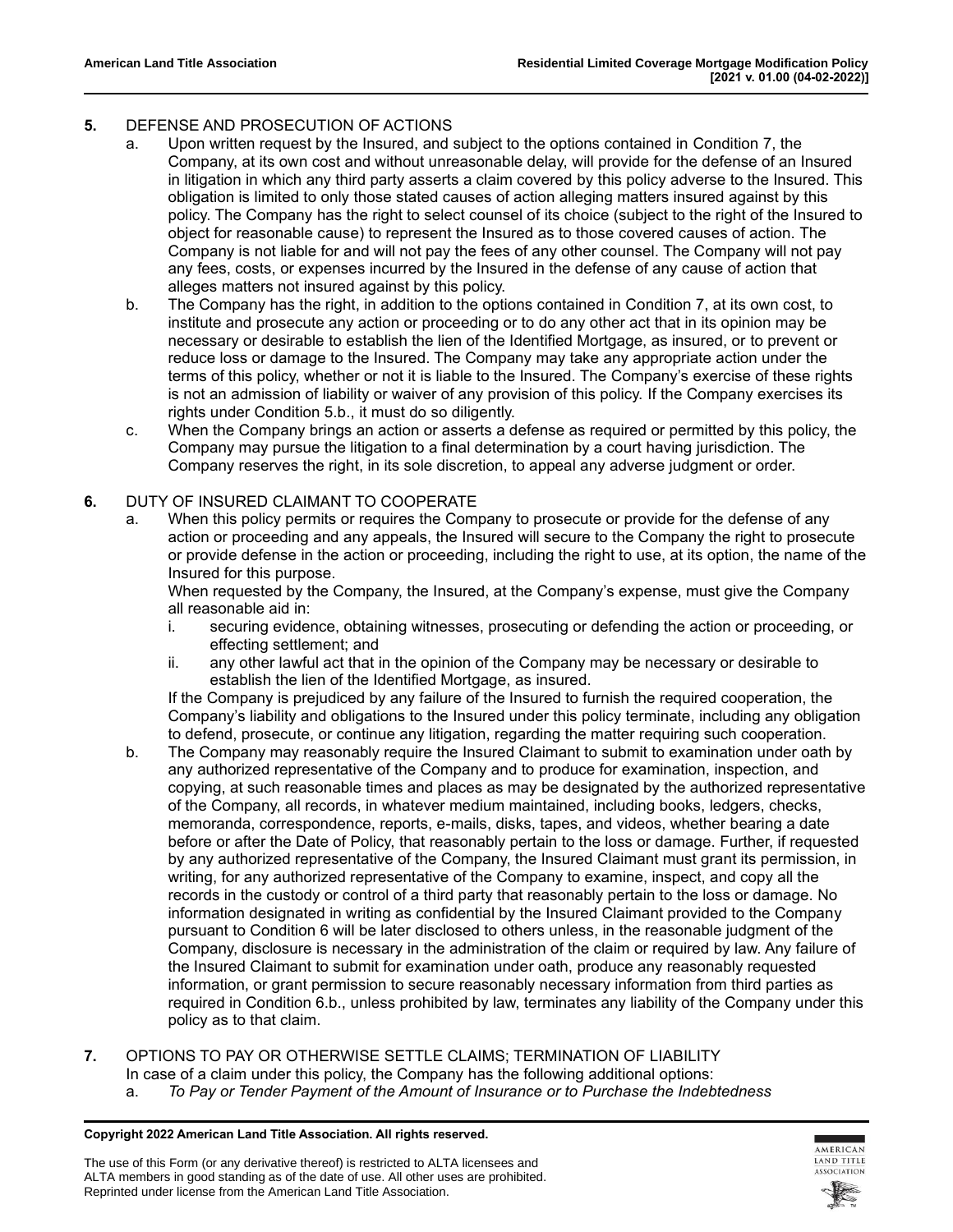## **5.** DEFENSE AND PROSECUTION OF ACTIONS

- a. Upon written request by the Insured, and subject to the options contained in Condition 7, the Company, at its own cost and without unreasonable delay, will provide for the defense of an Insured in litigation in which any third party asserts a claim covered by this policy adverse to the Insured. This obligation is limited to only those stated causes of action alleging matters insured against by this policy. The Company has the right to select counsel of its choice (subject to the right of the Insured to object for reasonable cause) to represent the Insured as to those covered causes of action. The Company is not liable for and will not pay the fees of any other counsel. The Company will not pay any fees, costs, or expenses incurred by the Insured in the defense of any cause of action that alleges matters not insured against by this policy.
- b. The Company has the right, in addition to the options contained in Condition 7, at its own cost, to institute and prosecute any action or proceeding or to do any other act that in its opinion may be necessary or desirable to establish the lien of the Identified Mortgage, as insured, or to prevent or reduce loss or damage to the Insured. The Company may take any appropriate action under the terms of this policy, whether or not it is liable to the Insured. The Company's exercise of these rights is not an admission of liability or waiver of any provision of this policy. If the Company exercises its rights under Condition 5.b., it must do so diligently.
- c. When the Company brings an action or asserts a defense as required or permitted by this policy, the Company may pursue the litigation to a final determination by a court having jurisdiction. The Company reserves the right, in its sole discretion, to appeal any adverse judgment or order.

### **6.** DUTY OF INSURED CLAIMANT TO COOPERATE

a. When this policy permits or requires the Company to prosecute or provide for the defense of any action or proceeding and any appeals, the Insured will secure to the Company the right to prosecute or provide defense in the action or proceeding, including the right to use, at its option, the name of the Insured for this purpose.

When requested by the Company, the Insured, at the Company's expense, must give the Company all reasonable aid in:

- i. securing evidence, obtaining witnesses, prosecuting or defending the action or proceeding, or effecting settlement; and
- ii. any other lawful act that in the opinion of the Company may be necessary or desirable to establish the lien of the Identified Mortgage, as insured.

If the Company is prejudiced by any failure of the Insured to furnish the required cooperation, the Company's liability and obligations to the Insured under this policy terminate, including any obligation to defend, prosecute, or continue any litigation, regarding the matter requiring such cooperation.

- b. The Company may reasonably require the Insured Claimant to submit to examination under oath by any authorized representative of the Company and to produce for examination, inspection, and copying, at such reasonable times and places as may be designated by the authorized representative of the Company, all records, in whatever medium maintained, including books, ledgers, checks, memoranda, correspondence, reports, e-mails, disks, tapes, and videos, whether bearing a date before or after the Date of Policy, that reasonably pertain to the loss or damage. Further, if requested by any authorized representative of the Company, the Insured Claimant must grant its permission, in writing, for any authorized representative of the Company to examine, inspect, and copy all the records in the custody or control of a third party that reasonably pertain to the loss or damage. No information designated in writing as confidential by the Insured Claimant provided to the Company pursuant to Condition 6 will be later disclosed to others unless, in the reasonable judgment of the Company, disclosure is necessary in the administration of the claim or required by law. Any failure of the Insured Claimant to submit for examination under oath, produce any reasonably requested information, or grant permission to secure reasonably necessary information from third parties as required in Condition 6.b., unless prohibited by law, terminates any liability of the Company under this policy as to that claim.
- **7.** OPTIONS TO PAY OR OTHERWISE SETTLE CLAIMS; TERMINATION OF LIABILITY
	- In case of a claim under this policy, the Company has the following additional options:
	- a. *To Pay or Tender Payment of the Amount of Insurance or to Purchase the Indebtedness*

**Copyright 2022 American Land Title Association. All rights reserved.**

The use of this Form (or any derivative thereof) is restricted to ALTA licensees and ALTA members in good standing as of the date of use. All other uses are prohibited. Reprinted under license from the American Land Title Association.

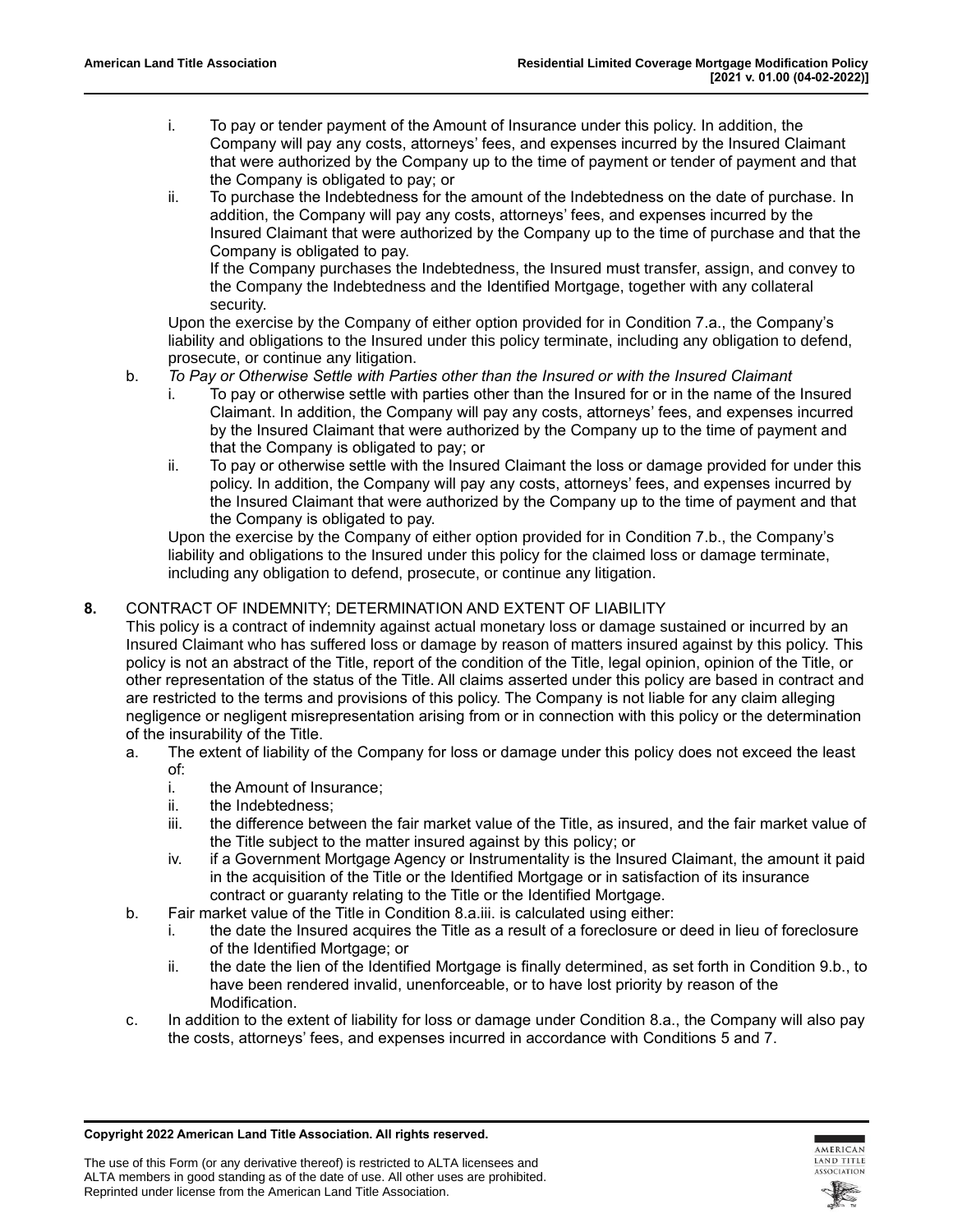- i. To pay or tender payment of the Amount of Insurance under this policy. In addition, the Company will pay any costs, attorneys' fees, and expenses incurred by the Insured Claimant that were authorized by the Company up to the time of payment or tender of payment and that the Company is obligated to pay; or
- ii. To purchase the Indebtedness for the amount of the Indebtedness on the date of purchase. In addition, the Company will pay any costs, attorneys' fees, and expenses incurred by the Insured Claimant that were authorized by the Company up to the time of purchase and that the Company is obligated to pay.

If the Company purchases the Indebtedness, the Insured must transfer, assign, and convey to the Company the Indebtedness and the Identified Mortgage, together with any collateral security.

Upon the exercise by the Company of either option provided for in Condition 7.a., the Company's liability and obligations to the Insured under this policy terminate, including any obligation to defend, prosecute, or continue any litigation.

- b. *To Pay or Otherwise Settle with Parties other than the Insured or with the Insured Claimant* 
	- i. To pay or otherwise settle with parties other than the Insured for or in the name of the Insured Claimant. In addition, the Company will pay any costs, attorneys' fees, and expenses incurred by the Insured Claimant that were authorized by the Company up to the time of payment and that the Company is obligated to pay; or
	- ii. To pay or otherwise settle with the Insured Claimant the loss or damage provided for under this policy. In addition, the Company will pay any costs, attorneys' fees, and expenses incurred by the Insured Claimant that were authorized by the Company up to the time of payment and that the Company is obligated to pay.

Upon the exercise by the Company of either option provided for in Condition 7.b., the Company's liability and obligations to the Insured under this policy for the claimed loss or damage terminate, including any obligation to defend, prosecute, or continue any litigation.

## **8.** CONTRACT OF INDEMNITY; DETERMINATION AND EXTENT OF LIABILITY

This policy is a contract of indemnity against actual monetary loss or damage sustained or incurred by an Insured Claimant who has suffered loss or damage by reason of matters insured against by this policy. This policy is not an abstract of the Title, report of the condition of the Title, legal opinion, opinion of the Title, or other representation of the status of the Title. All claims asserted under this policy are based in contract and are restricted to the terms and provisions of this policy. The Company is not liable for any claim alleging negligence or negligent misrepresentation arising from or in connection with this policy or the determination of the insurability of the Title.

- a. The extent of liability of the Company for loss or damage under this policy does not exceed the least of:
	- i. the Amount of Insurance;
	- ii. the Indebtedness;
	- iii. the difference between the fair market value of the Title, as insured, and the fair market value of the Title subject to the matter insured against by this policy; or
	- iv. if a Government Mortgage Agency or Instrumentality is the Insured Claimant, the amount it paid in the acquisition of the Title or the Identified Mortgage or in satisfaction of its insurance contract or guaranty relating to the Title or the Identified Mortgage.
- b. Fair market value of the Title in Condition 8.a.iii. is calculated using either:
	- i. the date the Insured acquires the Title as a result of a foreclosure or deed in lieu of foreclosure of the Identified Mortgage; or
	- ii. the date the lien of the Identified Mortgage is finally determined, as set forth in Condition 9.b., to have been rendered invalid, unenforceable, or to have lost priority by reason of the Modification.
- c. In addition to the extent of liability for loss or damage under Condition 8.a., the Company will also pay the costs, attorneys' fees, and expenses incurred in accordance with Conditions 5 and 7.



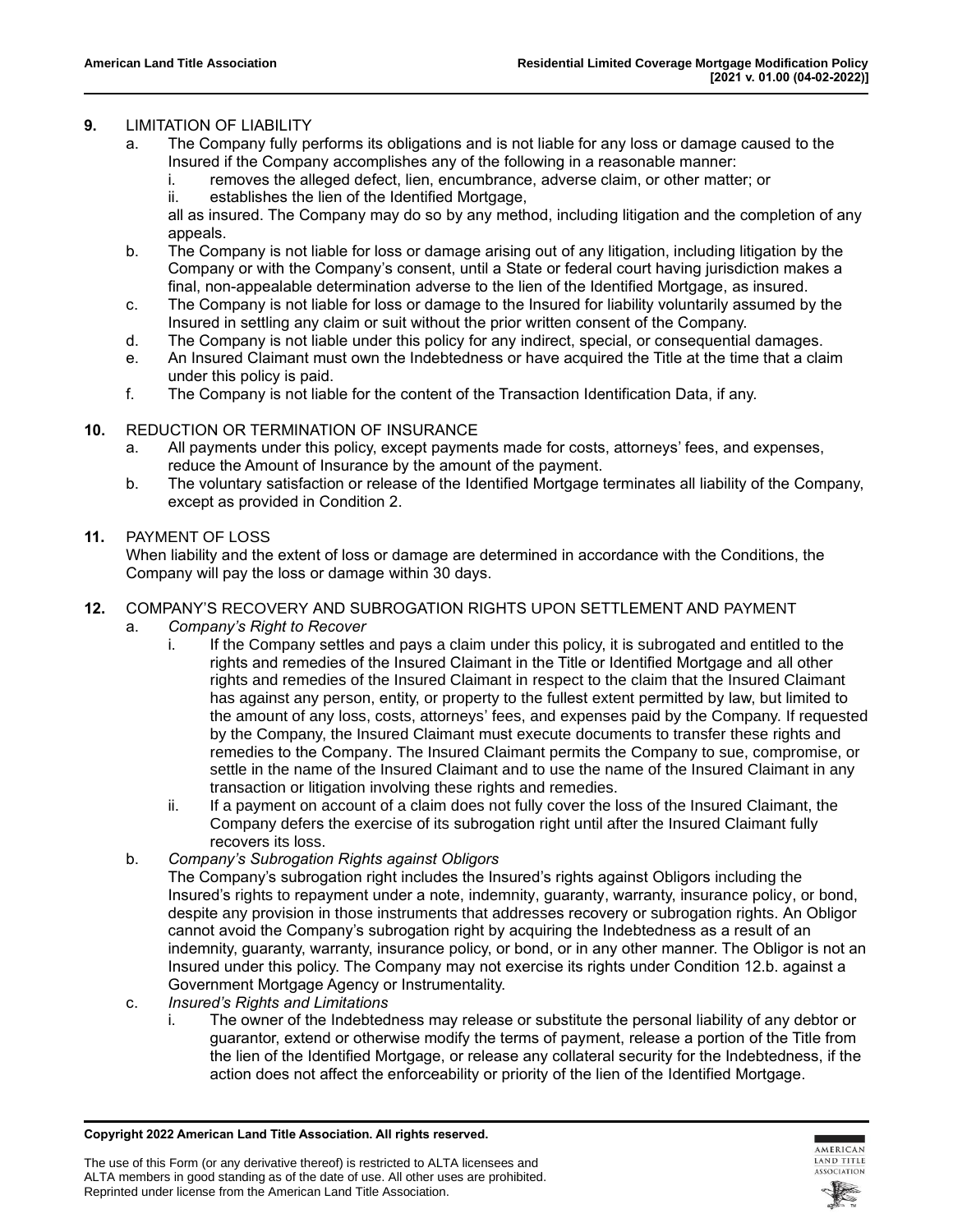## **9.** LIMITATION OF LIABILITY

- a. The Company fully performs its obligations and is not liable for any loss or damage caused to the Insured if the Company accomplishes any of the following in a reasonable manner:
	- i. removes the alleged defect, lien, encumbrance, adverse claim, or other matter; or
	- ii. establishes the lien of the Identified Mortgage,

all as insured. The Company may do so by any method, including litigation and the completion of any appeals.

- b. The Company is not liable for loss or damage arising out of any litigation, including litigation by the Company or with the Company's consent, until a State or federal court having jurisdiction makes a final, non-appealable determination adverse to the lien of the Identified Mortgage, as insured.
- c. The Company is not liable for loss or damage to the Insured for liability voluntarily assumed by the Insured in settling any claim or suit without the prior written consent of the Company.
- d. The Company is not liable under this policy for any indirect, special, or consequential damages.
- e. An Insured Claimant must own the Indebtedness or have acquired the Title at the time that a claim under this policy is paid.
- f. The Company is not liable for the content of the Transaction Identification Data, if any.

## **10.** REDUCTION OR TERMINATION OF INSURANCE

- a. All payments under this policy, except payments made for costs, attorneys' fees, and expenses, reduce the Amount of Insurance by the amount of the payment.
- b. The voluntary satisfaction or release of the Identified Mortgage terminates all liability of the Company, except as provided in Condition 2.

### **11.** PAYMENT OF LOSS

When liability and the extent of loss or damage are determined in accordance with the Conditions, the Company will pay the loss or damage within 30 days.

## **12.** COMPANY'S RECOVERY AND SUBROGATION RIGHTS UPON SETTLEMENT AND PAYMENT

- a. *Company's Right to Recover*
	- i. If the Company settles and pays a claim under this policy, it is subrogated and entitled to the rights and remedies of the Insured Claimant in the Title or Identified Mortgage and all other rights and remedies of the Insured Claimant in respect to the claim that the Insured Claimant has against any person, entity, or property to the fullest extent permitted by law, but limited to the amount of any loss, costs, attorneys' fees, and expenses paid by the Company. If requested by the Company, the Insured Claimant must execute documents to transfer these rights and remedies to the Company. The Insured Claimant permits the Company to sue, compromise, or settle in the name of the Insured Claimant and to use the name of the Insured Claimant in any transaction or litigation involving these rights and remedies.
	- ii. If a payment on account of a claim does not fully cover the loss of the Insured Claimant, the Company defers the exercise of its subrogation right until after the Insured Claimant fully recovers its loss.

### b. *Company's Subrogation Rights against Obligors*

The Company's subrogation right includes the Insured's rights against Obligors including the Insured's rights to repayment under a note, indemnity, guaranty, warranty, insurance policy, or bond, despite any provision in those instruments that addresses recovery or subrogation rights. An Obligor cannot avoid the Company's subrogation right by acquiring the Indebtedness as a result of an indemnity, guaranty, warranty, insurance policy, or bond, or in any other manner. The Obligor is not an Insured under this policy. The Company may not exercise its rights under Condition 12.b. against a Government Mortgage Agency or Instrumentality.

- c. *Insured's Rights and Limitations*
	- i. The owner of the Indebtedness may release or substitute the personal liability of any debtor or guarantor, extend or otherwise modify the terms of payment, release a portion of the Title from the lien of the Identified Mortgage, or release any collateral security for the Indebtedness, if the action does not affect the enforceability or priority of the lien of the Identified Mortgage.



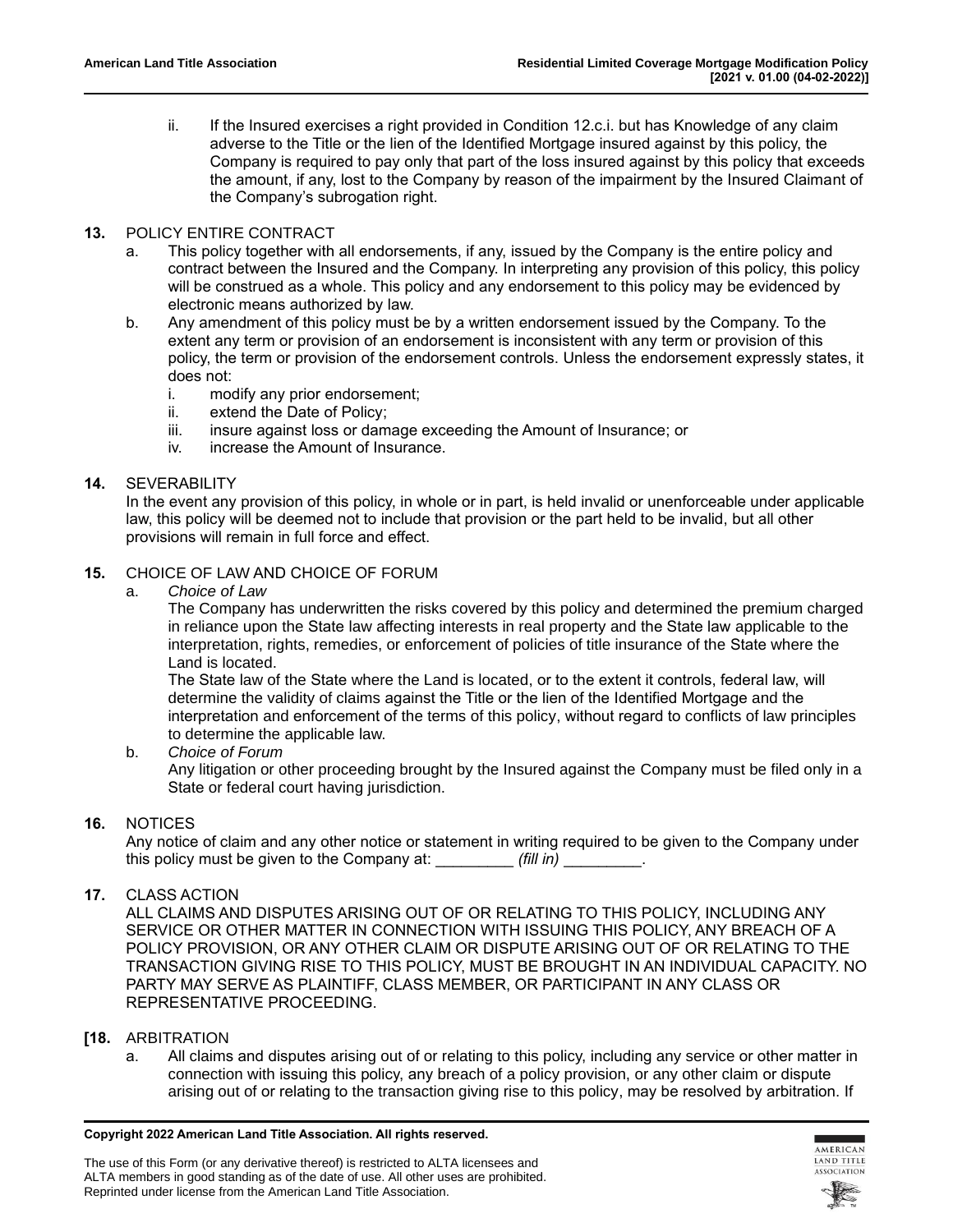ii. If the Insured exercises a right provided in Condition 12.c.i. but has Knowledge of any claim adverse to the Title or the lien of the Identified Mortgage insured against by this policy, the Company is required to pay only that part of the loss insured against by this policy that exceeds the amount, if any, lost to the Company by reason of the impairment by the Insured Claimant of the Company's subrogation right.

### **13.** POLICY ENTIRE CONTRACT

- a. This policy together with all endorsements, if any, issued by the Company is the entire policy and contract between the Insured and the Company. In interpreting any provision of this policy, this policy will be construed as a whole. This policy and any endorsement to this policy may be evidenced by electronic means authorized by law.
- b. Any amendment of this policy must be by a written endorsement issued by the Company. To the extent any term or provision of an endorsement is inconsistent with any term or provision of this policy, the term or provision of the endorsement controls. Unless the endorsement expressly states, it does not:
	- i. modify any prior endorsement;
	- ii. extend the Date of Policy;
	- iii. insure against loss or damage exceeding the Amount of Insurance; or
	- iv. increase the Amount of Insurance.

### **14.** SEVERABILITY

In the event any provision of this policy, in whole or in part, is held invalid or unenforceable under applicable law, this policy will be deemed not to include that provision or the part held to be invalid, but all other provisions will remain in full force and effect.

### **15.** CHOICE OF LAW AND CHOICE OF FORUM

a. *Choice of Law*

The Company has underwritten the risks covered by this policy and determined the premium charged in reliance upon the State law affecting interests in real property and the State law applicable to the interpretation, rights, remedies, or enforcement of policies of title insurance of the State where the Land is located.

The State law of the State where the Land is located, or to the extent it controls, federal law, will determine the validity of claims against the Title or the lien of the Identified Mortgage and the interpretation and enforcement of the terms of this policy, without regard to conflicts of law principles to determine the applicable law.

b. *Choice of Forum*

Any litigation or other proceeding brought by the Insured against the Company must be filed only in a State or federal court having jurisdiction.

# **16.** NOTICES

| Any notice of claim and any other notice or statement in writing required to be given to the Company under |           |  |
|------------------------------------------------------------------------------------------------------------|-----------|--|
| this policy must be given to the Company at:                                                               | (fill in) |  |

### **17.** CLASS ACTION

ALL CLAIMS AND DISPUTES ARISING OUT OF OR RELATING TO THIS POLICY, INCLUDING ANY SERVICE OR OTHER MATTER IN CONNECTION WITH ISSUING THIS POLICY, ANY BREACH OF A POLICY PROVISION, OR ANY OTHER CLAIM OR DISPUTE ARISING OUT OF OR RELATING TO THE TRANSACTION GIVING RISE TO THIS POLICY, MUST BE BROUGHT IN AN INDIVIDUAL CAPACITY. NO PARTY MAY SERVE AS PLAINTIFF, CLASS MEMBER, OR PARTICIPANT IN ANY CLASS OR REPRESENTATIVE PROCEEDING.

### **[18.** ARBITRATION

a. All claims and disputes arising out of or relating to this policy, including any service or other matter in connection with issuing this policy, any breach of a policy provision, or any other claim or dispute arising out of or relating to the transaction giving rise to this policy, may be resolved by arbitration. If



**Copyright 2022 American Land Title Association. All rights reserved.**